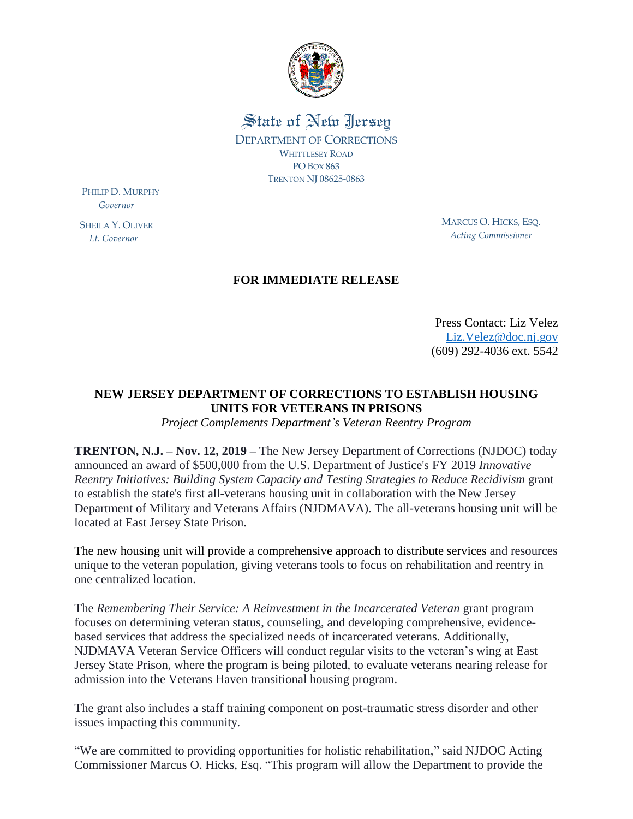

State of New Jersey DEPARTMENT OF CORRECTIONS WHITTLESEY ROAD PO BOX 863 TRENTON NJ 08625-0863

PHILIP D. MURPHY  *Governor*

SHEILA Y. OLIVER  *Lt. Governor*

MARCUS O. HICKS, ESQ. *Acting Commissioner*

## **FOR IMMEDIATE RELEASE**

Press Contact: Liz Velez [Liz.Velez@doc.nj.gov](mailto:Liz.Velez@doc.nj.gov) (609) 292-4036 ext. 5542

## **NEW JERSEY DEPARTMENT OF CORRECTIONS TO ESTABLISH HOUSING UNITS FOR VETERANS IN PRISONS**

*Project Complements Department's Veteran Reentry Program* 

**TRENTON, N.J. – Nov. 12, 2019 –** The New Jersey Department of Corrections (NJDOC) today announced an award of \$500,000 from the U.S. Department of Justice's FY 2019 *Innovative Reentry Initiatives: Building System Capacity and Testing Strategies to Reduce Recidivism* grant to establish the state's first all-veterans housing unit in collaboration with the New Jersey Department of Military and Veterans Affairs (NJDMAVA). The all-veterans housing unit will be located at East Jersey State Prison.

The new housing unit will provide a comprehensive approach to distribute services and resources unique to the veteran population, giving veterans tools to focus on rehabilitation and reentry in one centralized location.

The *Remembering Their Service: A Reinvestment in the Incarcerated Veteran* grant program focuses on determining veteran status, counseling, and developing comprehensive, evidencebased services that address the specialized needs of incarcerated veterans. Additionally, NJDMAVA Veteran Service Officers will conduct regular visits to the veteran's wing at East Jersey State Prison, where the program is being piloted, to evaluate veterans nearing release for admission into the Veterans Haven transitional housing program.

The grant also includes a staff training component on post-traumatic stress disorder and other issues impacting this community.

"We are committed to providing opportunities for holistic rehabilitation," said NJDOC Acting Commissioner Marcus O. Hicks, Esq. "This program will allow the Department to provide the